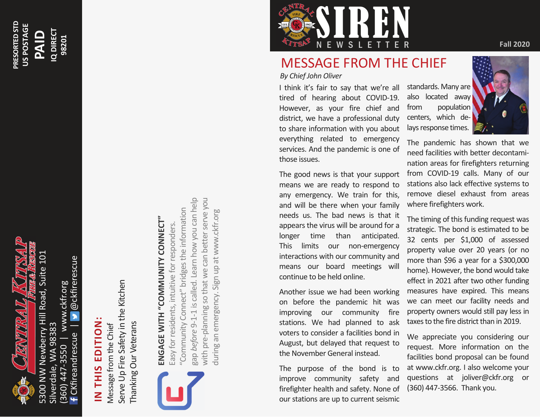

**PRESORTED STD US POSTAGE**

PRESORTED STD US POSTAGE

**PAID**

**IQ DIRECT 98201**

IQ DIRECT

@ckfirerescue CKfireandrescue | @ckfirerescue (360) 447-3550 | www.ckfr.org www.ckfr.org Silverdale, WA 98383 Silverdale, WA 98383 CKfireandrescue 447-3550  $360)$ 

## **IN THIS EDITION:**  IN THIS EDITION

Serve Up Fire Safety in the Kitchen Serve Up Fire Safety in the Kitchen Thanking Our Veterans Thanking Our Veterans Message from the Chief Message from the Chief



# **ENGAGE WITH "COMMUNITY CONNECT"**  ENGAGE WITH "COMMUNITY CONNECT"

gap *before* 9-1-1 is called. Learn how you can help with pre-planning so that we can better serve you gap before 9-1-1 is called. Learn how you can help with pre-planning so that we can better serve you "Community Connect" bridges the information "Community Connect" bridges the information during an emergency. Sign up at www.ckfr.org during an emergency. Sign up at www.ckfr.orgEasy for residents, intuitive for responders. Easy for residents, intuitive for responders.



### MESSAGE FROM THE CHIEF

*By Chief John Oliver* 

I think it's fair to say that we're all tired of hearing about COVID-19. However, as your fire chief and district, we have a professional duty to share information with you about everything related to emergency services. And the pandemic is one of those issues.

The good news is that your support means we are ready to respond to any emergency. We train for this, and will be there when your family needs us. The bad news is that it appears the virus will be around for a longer time than anticipated. This limits our non-emergency interactions with our community and means our board meetings will continue to be held online.

Another issue we had been working on before the pandemic hit was improving our community fire stations. We had planned to ask voters to consider a facilities bond in August, but delayed that request to the November General instead.

The purpose of the bond is to improve community safety and firefighter health and safety. None of our stations are up to current seismic

standards. Many are also located away from population centers, which delays response times.

The pandemic has shown that we need facilities with better decontamination areas for firefighters returning from COVID-19 calls. Many of our stations also lack effective systems to remove diesel exhaust from areas where firefighters work.

The timing of this funding request was strategic. The bond is estimated to be 32 cents per \$1,000 of assessed property value over 20 years (or no more than \$96 a year for a \$300,000 home). However, the bond would take effect in 2021 after two other funding measures have expired. This means we can meet our facility needs and property owners would still pay less in taxes to the fire district than in 2019.

We appreciate you considering our request. More information on the facilities bond proposal can be found at www.ckfr.org. I also welcome your questions at joliver@ckfr.org or (360) 447-3566. Thank you.

**Fall 2020**